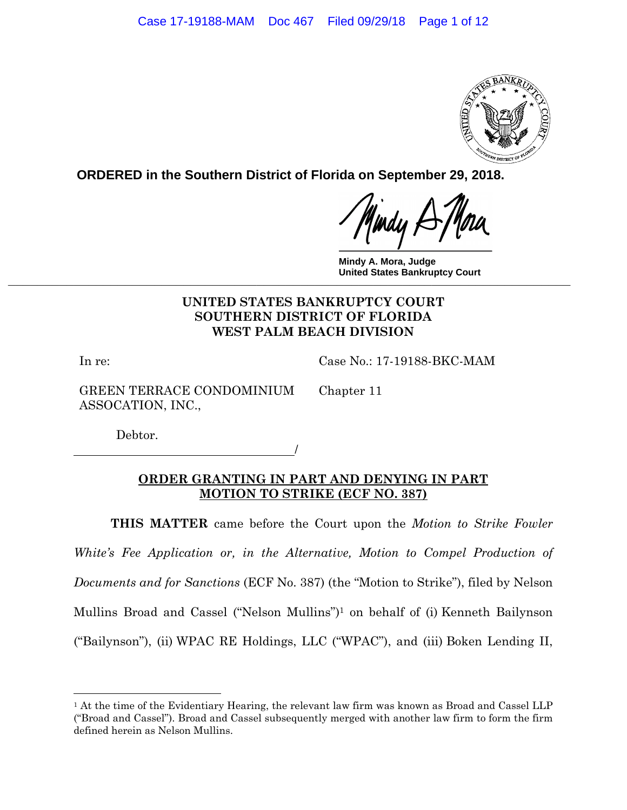

**ORDERED in the Southern District of Florida on September 29, 2018.**

**Mindy A. Mora, Judge United States Bankruptcy Court UINED OTHER DATES DAIR REPORT ON A SERVICE SURFLIPS ON A SERVICE SURFLIPS** 

# **UNITED STATES BANKRUPTCY COURT SOUTHERN DISTRICT OF FLORIDA WEST PALM BEACH DIVISION**

In re:

 $\overline{a}$ 

Case No.: 17-19188-BKC-MAM

GREEN TERRACE CONDOMINIUM ASSOCATION, INC.,

Chapter 11

Debtor.

<u>/</u>

# **ORDER GRANTING IN PART AND DENYING IN PART MOTION TO STRIKE (ECF NO. 387)**

**THIS MATTER** came before the Court upon the *Motion to Strike Fowler*  White's Fee Application or, in the Alternative, Motion to Compel Production of *Documents and for Sanctions* (ECF No. 387) (the "Motion to Strike"), filed by Nelson Mullins Broad and Cassel ("Nelson Mullins")1 on behalf of (i) Kenneth Bailynson ("Bailynson"), (ii) WPAC RE Holdings, LLC ("WPAC"), and (iii) Boken Lending II,

<sup>&</sup>lt;sup>1</sup> At the time of the Evidentiary Hearing, the relevant law firm was known as Broad and Cassel LLP ("Broad and Cassel"). Broad and Cassel subsequently merged with another law firm to form the firm defined herein as Nelson Mullins.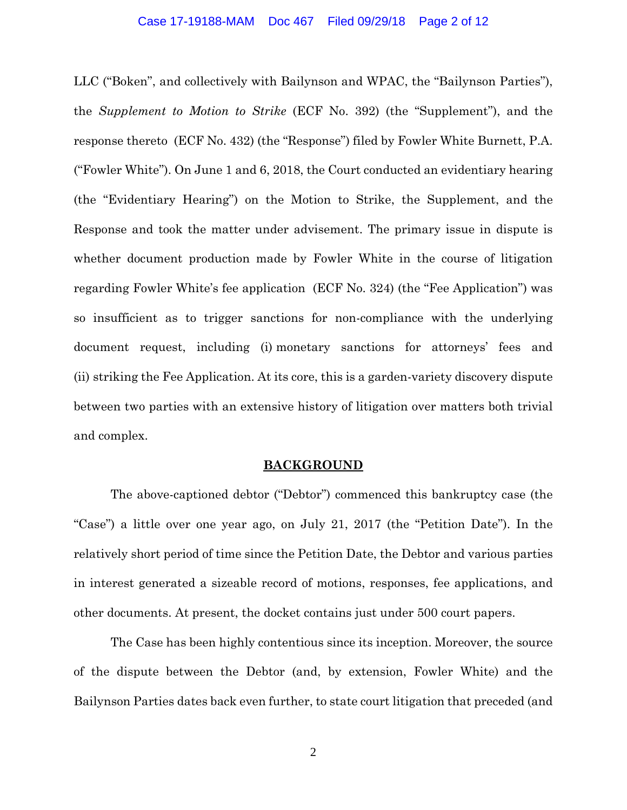### Case 17-19188-MAM Doc 467 Filed 09/29/18 Page 2 of 12

LLC ("Boken", and collectively with Bailynson and WPAC, the "Bailynson Parties"), the *Supplement to Motion to Strike* (ECF No. 392) (the "Supplement"), and the response thereto (ECF No. 432) (the "Response") filed by Fowler White Burnett, P.A. ("Fowler White"). On June 1 and 6, 2018, the Court conducted an evidentiary hearing (the "Evidentiary Hearing") on the Motion to Strike, the Supplement, and the Response and took the matter under advisement. The primary issue in dispute is whether document production made by Fowler White in the course of litigation regarding Fowler White's fee application (ECF No. 324) (the "Fee Application") was so insufficient as to trigger sanctions for non-compliance with the underlying document request, including (i) monetary sanctions for attorneys' fees and (ii) striking the Fee Application. At its core, this is a garden-variety discovery dispute between two parties with an extensive history of litigation over matters both trivial and complex.

## **BACKGROUND**

 The above-captioned debtor ("Debtor") commenced this bankruptcy case (the "Case") a little over one year ago, on July 21, 2017 (the "Petition Date"). In the relatively short period of time since the Petition Date, the Debtor and various parties in interest generated a sizeable record of motions, responses, fee applications, and other documents. At present, the docket contains just under 500 court papers.

 The Case has been highly contentious since its inception. Moreover, the source of the dispute between the Debtor (and, by extension, Fowler White) and the Bailynson Parties dates back even further, to state court litigation that preceded (and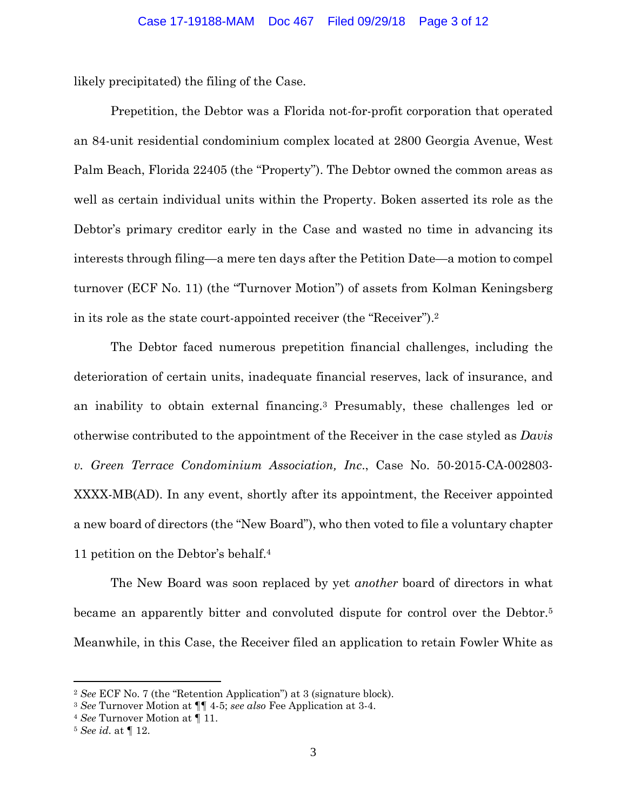likely precipitated) the filing of the Case.

 Prepetition, the Debtor was a Florida not-for-profit corporation that operated an 84-unit residential condominium complex located at 2800 Georgia Avenue, West Palm Beach, Florida 22405 (the "Property"). The Debtor owned the common areas as well as certain individual units within the Property. Boken asserted its role as the Debtor's primary creditor early in the Case and wasted no time in advancing its interests through filing—a mere ten days after the Petition Date—a motion to compel turnover (ECF No. 11) (the "Turnover Motion") of assets from Kolman Keningsberg in its role as the state court-appointed receiver (the "Receiver").2

 The Debtor faced numerous prepetition financial challenges, including the deterioration of certain units, inadequate financial reserves, lack of insurance, and an inability to obtain external financing.3 Presumably, these challenges led or otherwise contributed to the appointment of the Receiver in the case styled as *Davis v. Green Terrace Condominium Association, Inc*., Case No. 50-2015-CA-002803- XXXX-MB(AD). In any event, shortly after its appointment, the Receiver appointed a new board of directors (the "New Board"), who then voted to file a voluntary chapter 11 petition on the Debtor's behalf.4

 The New Board was soon replaced by yet *another* board of directors in what became an apparently bitter and convoluted dispute for control over the Debtor.5 Meanwhile, in this Case, the Receiver filed an application to retain Fowler White as

1

<sup>2</sup> *See* ECF No. 7 (the "Retention Application") at 3 (signature block).

<sup>3</sup> *See* Turnover Motion at ¶¶ 4-5; *see also* Fee Application at 3-4. 4 *See* Turnover Motion at ¶ 11.

<sup>5</sup> *See id.* at ¶ 12.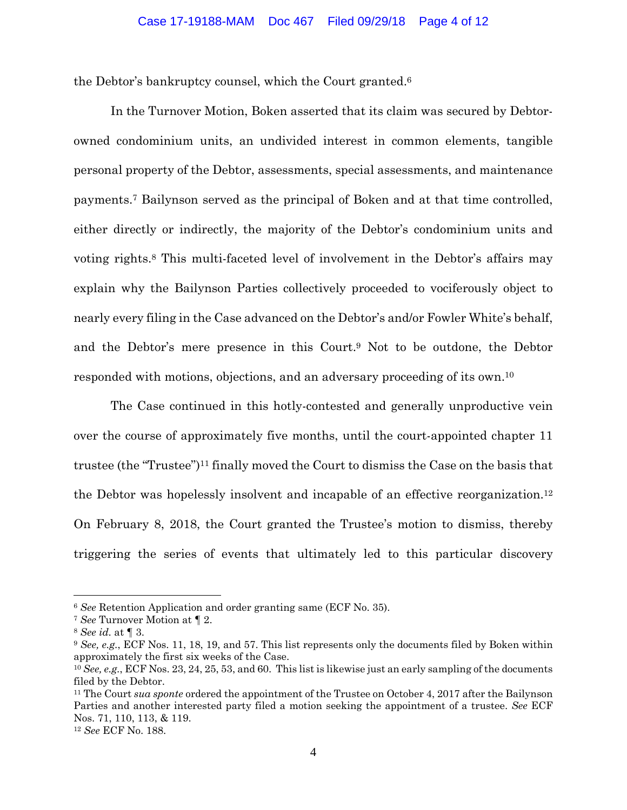the Debtor's bankruptcy counsel, which the Court granted.6

In the Turnover Motion, Boken asserted that its claim was secured by Debtorowned condominium units, an undivided interest in common elements, tangible personal property of the Debtor, assessments, special assessments, and maintenance payments.7 Bailynson served as the principal of Boken and at that time controlled, either directly or indirectly, the majority of the Debtor's condominium units and voting rights.8 This multi-faceted level of involvement in the Debtor's affairs may explain why the Bailynson Parties collectively proceeded to vociferously object to nearly every filing in the Case advanced on the Debtor's and/or Fowler White's behalf, and the Debtor's mere presence in this Court.9 Not to be outdone, the Debtor responded with motions, objections, and an adversary proceeding of its own.10

The Case continued in this hotly-contested and generally unproductive vein over the course of approximately five months, until the court-appointed chapter 11 trustee (the "Trustee")11 finally moved the Court to dismiss the Case on the basis that the Debtor was hopelessly insolvent and incapable of an effective reorganization.12 On February 8, 2018, the Court granted the Trustee's motion to dismiss, thereby triggering the series of events that ultimately led to this particular discovery

<u>.</u>

<sup>6</sup> *See* Retention Application and order granting same (ECF No. 35).

<sup>7</sup> *See* Turnover Motion at ¶ 2.

<sup>8</sup> *See id.* at ¶ 3.

<sup>9</sup> *See, e.g.*, ECF Nos. 11, 18, 19, and 57. This list represents only the documents filed by Boken within approximately the first six weeks of the Case.

<sup>10</sup> *See, e.g.*, ECF Nos. 23, 24, 25, 53, and 60. This list is likewise just an early sampling of the documents filed by the Debtor.

<sup>11</sup> The Court *sua sponte* ordered the appointment of the Trustee on October 4, 2017 after the Bailynson Parties and another interested party filed a motion seeking the appointment of a trustee. *See* ECF Nos. 71, 110, 113, & 119.

<sup>12</sup> *See* ECF No. 188.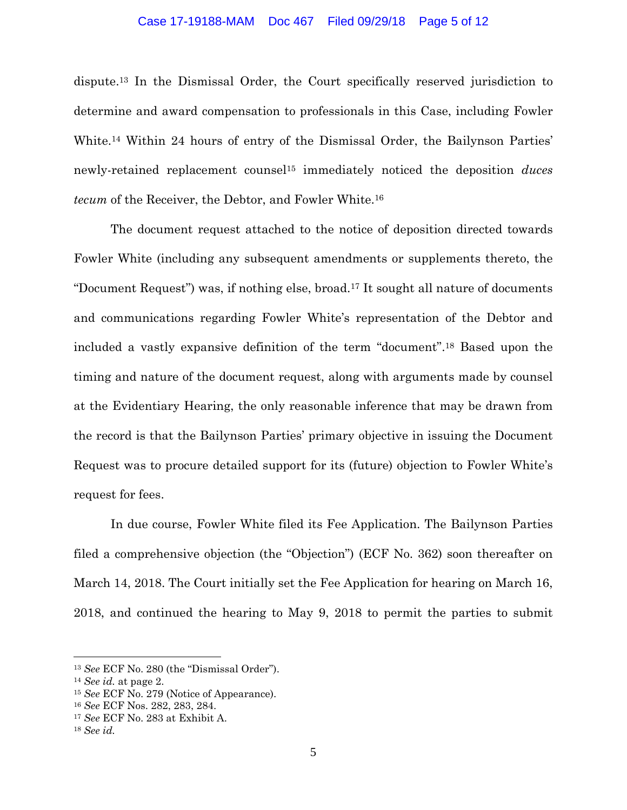## Case 17-19188-MAM Doc 467 Filed 09/29/18 Page 5 of 12

dispute.13 In the Dismissal Order, the Court specifically reserved jurisdiction to determine and award compensation to professionals in this Case, including Fowler White.14 Within 24 hours of entry of the Dismissal Order, the Bailynson Parties' newly-retained replacement counsel15 immediately noticed the deposition *duces tecum* of the Receiver, the Debtor, and Fowler White.16

The document request attached to the notice of deposition directed towards Fowler White (including any subsequent amendments or supplements thereto, the "Document Request") was, if nothing else, broad.17 It sought all nature of documents and communications regarding Fowler White's representation of the Debtor and included a vastly expansive definition of the term "document".18 Based upon the timing and nature of the document request, along with arguments made by counsel at the Evidentiary Hearing, the only reasonable inference that may be drawn from the record is that the Bailynson Parties' primary objective in issuing the Document Request was to procure detailed support for its (future) objection to Fowler White's request for fees.

In due course, Fowler White filed its Fee Application. The Bailynson Parties filed a comprehensive objection (the "Objection") (ECF No. 362) soon thereafter on March 14, 2018. The Court initially set the Fee Application for hearing on March 16, 2018, and continued the hearing to May 9, 2018 to permit the parties to submit

 $\overline{a}$ 

<sup>13</sup> *See* ECF No. 280 (the "Dismissal Order"). 14 *See id.* at page 2.

<sup>15</sup> *See* ECF No. 279 (Notice of Appearance).

<sup>16</sup> *See* ECF Nos. 282, 283, 284.

<sup>17</sup> *See* ECF No. 283 at Exhibit A.

<sup>18</sup> *See id.*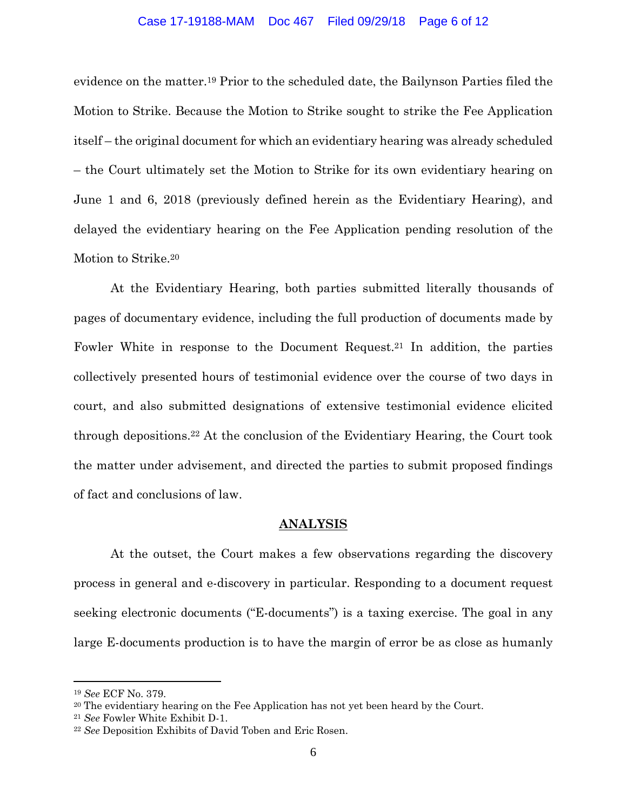## Case 17-19188-MAM Doc 467 Filed 09/29/18 Page 6 of 12

evidence on the matter.19 Prior to the scheduled date, the Bailynson Parties filed the Motion to Strike. Because the Motion to Strike sought to strike the Fee Application itself – the original document for which an evidentiary hearing was already scheduled – the Court ultimately set the Motion to Strike for its own evidentiary hearing on June 1 and 6, 2018 (previously defined herein as the Evidentiary Hearing), and delayed the evidentiary hearing on the Fee Application pending resolution of the Motion to Strike.20

At the Evidentiary Hearing, both parties submitted literally thousands of pages of documentary evidence, including the full production of documents made by Fowler White in response to the Document Request.21 In addition, the parties collectively presented hours of testimonial evidence over the course of two days in court, and also submitted designations of extensive testimonial evidence elicited through depositions.22 At the conclusion of the Evidentiary Hearing, the Court took the matter under advisement, and directed the parties to submit proposed findings of fact and conclusions of law.

## **ANALYSIS**

 At the outset, the Court makes a few observations regarding the discovery process in general and e-discovery in particular. Responding to a document request seeking electronic documents ("E-documents") is a taxing exercise. The goal in any large E-documents production is to have the margin of error be as close as humanly

 $\overline{a}$ 

<sup>19</sup> *See* ECF No. 379.

<sup>&</sup>lt;sup>20</sup> The evidentiary hearing on the Fee Application has not yet been heard by the Court.

<sup>21</sup> *See* Fowler White Exhibit D-1. 22 *See* Deposition Exhibits of David Toben and Eric Rosen.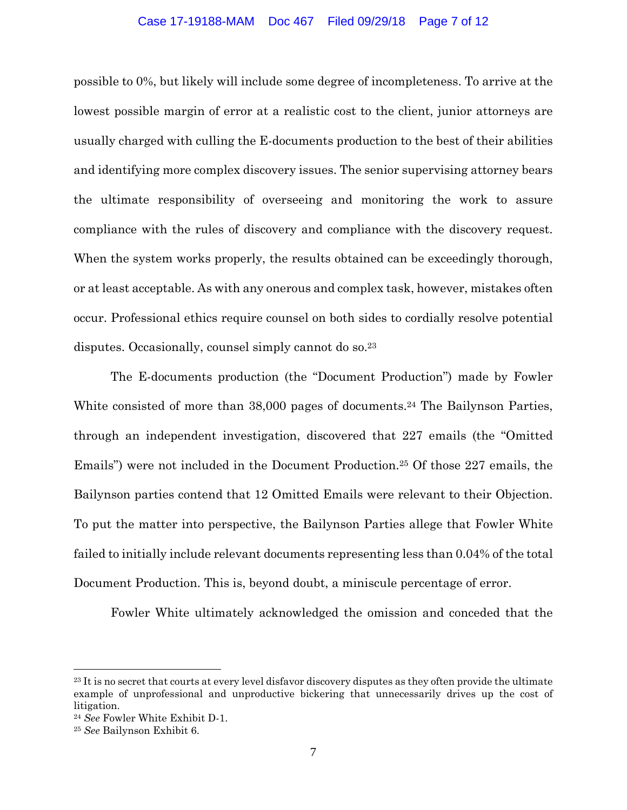## Case 17-19188-MAM Doc 467 Filed 09/29/18 Page 7 of 12

possible to 0%, but likely will include some degree of incompleteness. To arrive at the lowest possible margin of error at a realistic cost to the client, junior attorneys are usually charged with culling the E-documents production to the best of their abilities and identifying more complex discovery issues. The senior supervising attorney bears the ultimate responsibility of overseeing and monitoring the work to assure compliance with the rules of discovery and compliance with the discovery request. When the system works properly, the results obtained can be exceedingly thorough, or at least acceptable. As with any onerous and complex task, however, mistakes often occur. Professional ethics require counsel on both sides to cordially resolve potential disputes. Occasionally, counsel simply cannot do so.<sup>23</sup>

The E-documents production (the "Document Production") made by Fowler White consisted of more than 38,000 pages of documents.<sup>24</sup> The Bailynson Parties, through an independent investigation, discovered that 227 emails (the "Omitted Emails") were not included in the Document Production.25 Of those 227 emails, the Bailynson parties contend that 12 Omitted Emails were relevant to their Objection. To put the matter into perspective, the Bailynson Parties allege that Fowler White failed to initially include relevant documents representing less than 0.04% of the total Document Production. This is, beyond doubt, a miniscule percentage of error.

Fowler White ultimately acknowledged the omission and conceded that the

 $\overline{a}$ 

<sup>&</sup>lt;sup>23</sup> It is no secret that courts at every level disfavor discovery disputes as they often provide the ultimate example of unprofessional and unproductive bickering that unnecessarily drives up the cost of litigation.

<sup>24</sup> *See* Fowler White Exhibit D-1.

<sup>25</sup> *See* Bailynson Exhibit 6.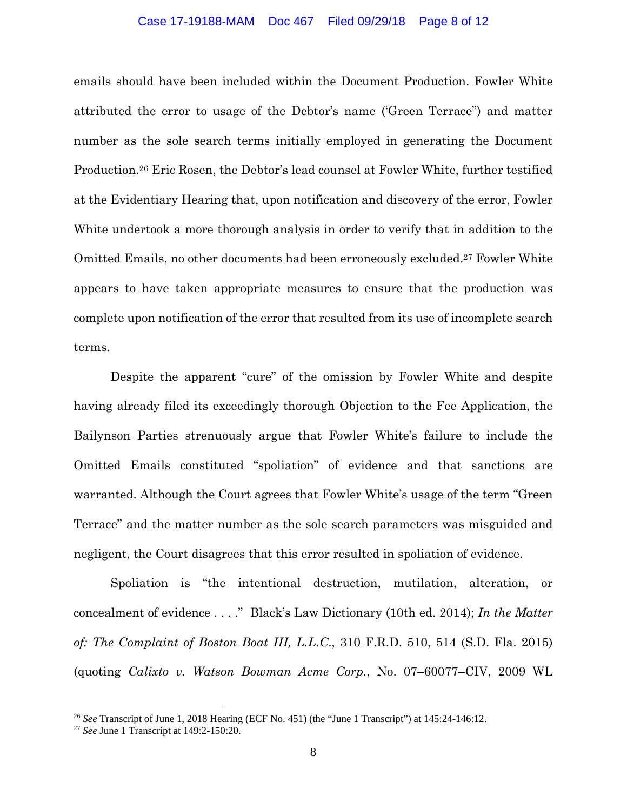## Case 17-19188-MAM Doc 467 Filed 09/29/18 Page 8 of 12

emails should have been included within the Document Production. Fowler White attributed the error to usage of the Debtor's name ('Green Terrace") and matter number as the sole search terms initially employed in generating the Document Production.26 Eric Rosen, the Debtor's lead counsel at Fowler White, further testified at the Evidentiary Hearing that, upon notification and discovery of the error, Fowler White undertook a more thorough analysis in order to verify that in addition to the Omitted Emails, no other documents had been erroneously excluded.27 Fowler White appears to have taken appropriate measures to ensure that the production was complete upon notification of the error that resulted from its use of incomplete search terms.

Despite the apparent "cure" of the omission by Fowler White and despite having already filed its exceedingly thorough Objection to the Fee Application, the Bailynson Parties strenuously argue that Fowler White's failure to include the Omitted Emails constituted "spoliation" of evidence and that sanctions are warranted. Although the Court agrees that Fowler White's usage of the term "Green Terrace" and the matter number as the sole search parameters was misguided and negligent, the Court disagrees that this error resulted in spoliation of evidence.

Spoliation is "the intentional destruction, mutilation, alteration, or concealment of evidence . . . ." Black's Law Dictionary (10th ed. 2014); *In the Matter of: The Complaint of Boston Boat III, L.L.C*., 310 F.R.D. 510, 514 (S.D. Fla. 2015) (quoting *Calixto v. Watson Bowman Acme Corp.*, No. 07–60077–CIV, 2009 WL

1

<sup>26</sup> *See* Transcript of June 1, 2018 Hearing (ECF No. 451) (the "June 1 Transcript") at 145:24-146:12.

<sup>27</sup> *See* June 1 Transcript at 149:2-150:20.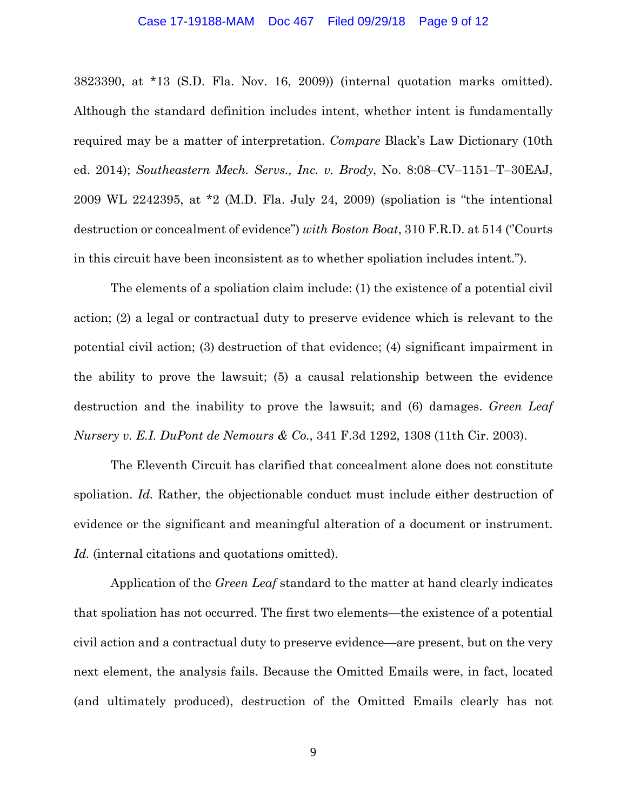## Case 17-19188-MAM Doc 467 Filed 09/29/18 Page 9 of 12

3823390, at \*13 (S.D. Fla. Nov. 16, 2009)) (internal quotation marks omitted). Although the standard definition includes intent, whether intent is fundamentally required may be a matter of interpretation. *Compare* Black's Law Dictionary (10th ed. 2014); *Southeastern Mech. Servs., Inc. v. Brody*, No. 8:08–CV–1151–T–30EAJ, 2009 WL 2242395, at \*2 (M.D. Fla. July 24, 2009) (spoliation is "the intentional destruction or concealment of evidence") *with Boston Boat*, 310 F.R.D. at 514 (''Courts in this circuit have been inconsistent as to whether spoliation includes intent.").

The elements of a spoliation claim include: (1) the existence of a potential civil action; (2) a legal or contractual duty to preserve evidence which is relevant to the potential civil action; (3) destruction of that evidence; (4) significant impairment in the ability to prove the lawsuit; (5) a causal relationship between the evidence destruction and the inability to prove the lawsuit; and (6) damages. *Green Leaf Nursery v. E.I. DuPont de Nemours & Co.*, 341 F.3d 1292, 1308 (11th Cir. 2003).

The Eleventh Circuit has clarified that concealment alone does not constitute spoliation. *Id.* Rather, the objectionable conduct must include either destruction of evidence or the significant and meaningful alteration of a document or instrument. *Id.* (internal citations and quotations omitted).

Application of the *Green Leaf* standard to the matter at hand clearly indicates that spoliation has not occurred. The first two elements—the existence of a potential civil action and a contractual duty to preserve evidence—are present, but on the very next element, the analysis fails. Because the Omitted Emails were, in fact, located (and ultimately produced), destruction of the Omitted Emails clearly has not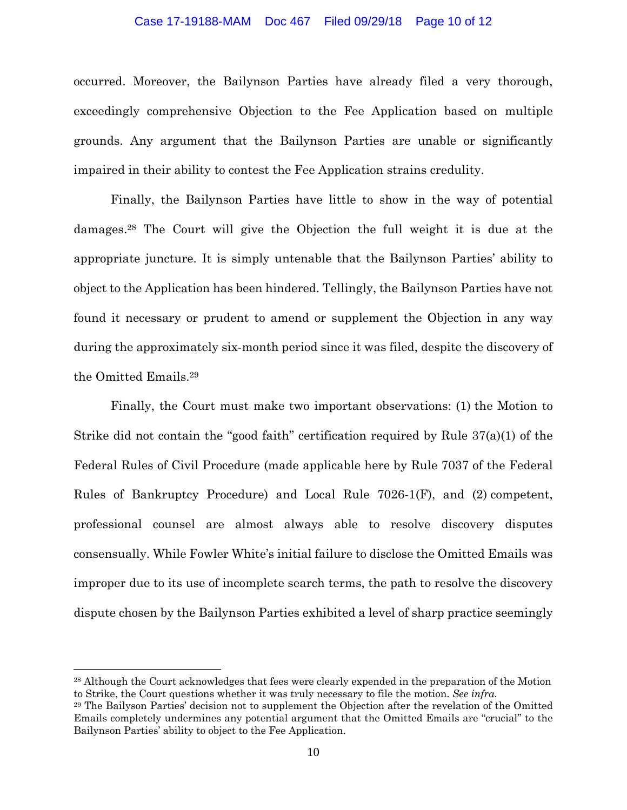## Case 17-19188-MAM Doc 467 Filed 09/29/18 Page 10 of 12

occurred. Moreover, the Bailynson Parties have already filed a very thorough, exceedingly comprehensive Objection to the Fee Application based on multiple grounds. Any argument that the Bailynson Parties are unable or significantly impaired in their ability to contest the Fee Application strains credulity.

Finally, the Bailynson Parties have little to show in the way of potential damages.28 The Court will give the Objection the full weight it is due at the appropriate juncture. It is simply untenable that the Bailynson Parties' ability to object to the Application has been hindered. Tellingly, the Bailynson Parties have not found it necessary or prudent to amend or supplement the Objection in any way during the approximately six-month period since it was filed, despite the discovery of the Omitted Emails.29

Finally, the Court must make two important observations: (1) the Motion to Strike did not contain the "good faith" certification required by Rule 37(a)(1) of the Federal Rules of Civil Procedure (made applicable here by Rule 7037 of the Federal Rules of Bankruptcy Procedure) and Local Rule 7026-1(F), and (2) competent, professional counsel are almost always able to resolve discovery disputes consensually. While Fowler White's initial failure to disclose the Omitted Emails was improper due to its use of incomplete search terms, the path to resolve the discovery dispute chosen by the Bailynson Parties exhibited a level of sharp practice seemingly

1

<sup>28</sup> Although the Court acknowledges that fees were clearly expended in the preparation of the Motion to Strike, the Court questions whether it was truly necessary to file the motion. *See infra.* 

<sup>29</sup> The Bailyson Parties' decision not to supplement the Objection after the revelation of the Omitted Emails completely undermines any potential argument that the Omitted Emails are "crucial" to the Bailynson Parties' ability to object to the Fee Application.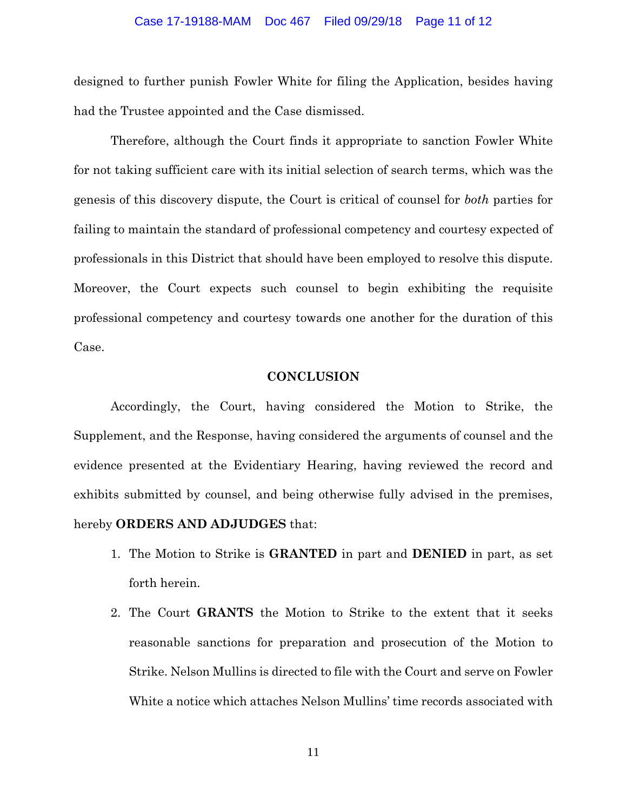## Case 17-19188-MAM Doc 467 Filed 09/29/18 Page 11 of 12

designed to further punish Fowler White for filing the Application, besides having had the Trustee appointed and the Case dismissed.

Therefore, although the Court finds it appropriate to sanction Fowler White for not taking sufficient care with its initial selection of search terms, which was the genesis of this discovery dispute, the Court is critical of counsel for *both* parties for failing to maintain the standard of professional competency and courtesy expected of professionals in this District that should have been employed to resolve this dispute. Moreover, the Court expects such counsel to begin exhibiting the requisite professional competency and courtesy towards one another for the duration of this Case.

## **CONCLUSION**

Accordingly, the Court, having considered the Motion to Strike, the Supplement, and the Response, having considered the arguments of counsel and the evidence presented at the Evidentiary Hearing, having reviewed the record and exhibits submitted by counsel, and being otherwise fully advised in the premises, hereby **ORDERS AND ADJUDGES** that:

- 1. The Motion to Strike is **GRANTED** in part and **DENIED** in part, as set forth herein.
- 2. The Court **GRANTS** the Motion to Strike to the extent that it seeks reasonable sanctions for preparation and prosecution of the Motion to Strike. Nelson Mullins is directed to file with the Court and serve on Fowler White a notice which attaches Nelson Mullins' time records associated with